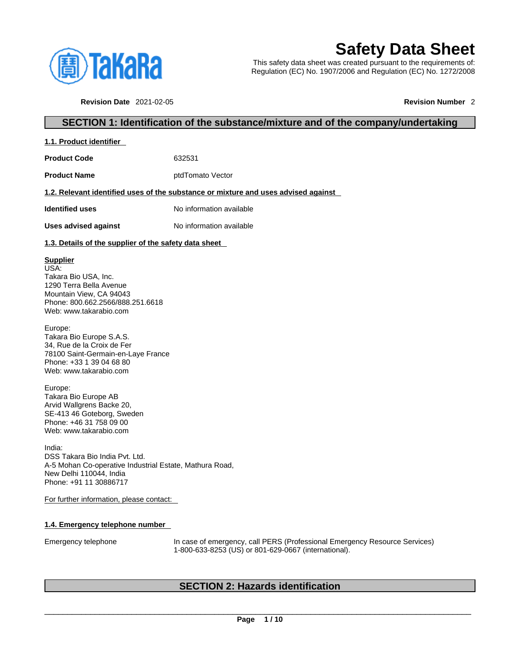

# **Safety Data Sheet**

This safety data sheet was created pursuant to the requirements of: Regulation (EC) No. 1907/2006 and Regulation (EC) No. 1272/2008

**Revision Date** 2021-02-05 **Revision Number** 2

### **SECTION 1: Identification of the substance/mixture and of the company/undertaking**

| 1.1. Product identifier                                                                                                                                             |                                                                                    |
|---------------------------------------------------------------------------------------------------------------------------------------------------------------------|------------------------------------------------------------------------------------|
| <b>Product Code</b>                                                                                                                                                 | 632531                                                                             |
| <b>Product Name</b>                                                                                                                                                 | ptdTomato Vector                                                                   |
|                                                                                                                                                                     | 1.2. Relevant identified uses of the substance or mixture and uses advised against |
| <b>Identified uses</b>                                                                                                                                              | No information available                                                           |
| Uses advised against                                                                                                                                                | No information available                                                           |
| 1.3. Details of the supplier of the safety data sheet                                                                                                               |                                                                                    |
| <b>Supplier</b><br>USA:<br>Takara Bio USA, Inc.<br>1290 Terra Bella Avenue<br>Mountain View, CA 94043<br>Phone: 800.662.2566/888.251.6618<br>Web: www.takarabio.com |                                                                                    |

Europe: Takara Bio Europe S.A.S. 34, Rue de la Croix de Fer 78100 Saint-Germain-en-Laye France Phone: +33 1 39 04 68 80 Web: www.takarabio.com

Europe: Takara Bio Europe AB Arvid Wallgrens Backe 20, SE-413 46 Goteborg, Sweden Phone: +46 31 758 09 00 Web: www.takarabio.com

India: DSS Takara Bio India Pvt. Ltd. A-5 Mohan Co-operative Industrial Estate, Mathura Road, New Delhi 110044, India Phone: +91 11 30886717

For further information, please contact:

### **1.4. Emergency telephone number**

Emergency telephone In case of emergency, call PERS (Professional Emergency Resource Services) 1-800-633-8253 (US) or 801-629-0667 (international).

### **SECTION 2: Hazards identification**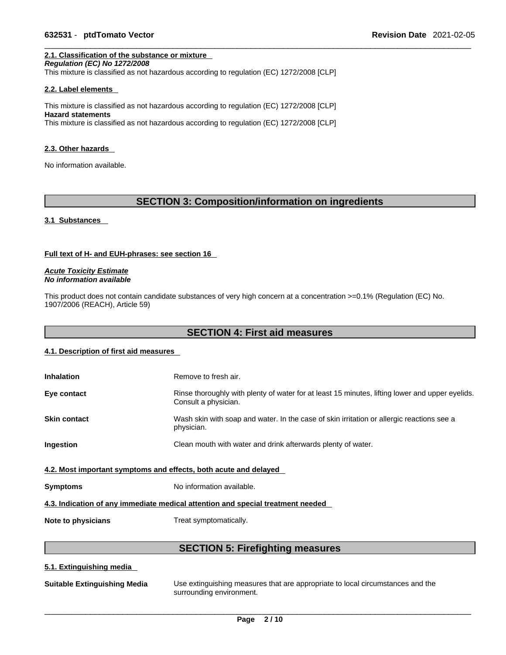### **2.1. Classification of the substance or mixture**

*Regulation (EC) No 1272/2008*  This mixture is classified as not hazardous according to regulation (EC) 1272/2008 [CLP]

### **2.2. Label elements**

This mixture is classified as not hazardous according to regulation (EC) 1272/2008 [CLP] **Hazard statements** This mixture is classified as not hazardous according to regulation (EC) 1272/2008 [CLP]

#### **2.3. Other hazards**

No information available.

### **SECTION 3: Composition/information on ingredients**

#### **3.1 Substances**

#### **Full text of H- and EUH-phrases: see section 16**

*Acute Toxicity Estimate No information available* 

This product does not contain candidate substances of very high concern at a concentration  $>=0.1\%$  (Regulation (EC) No. 1907/2006 (REACH), Article 59)

### **SECTION 4: First aid measures**

#### **4.1. Description of first aid measures**

| <b>Inhalation</b>                                                               | Remove to fresh air.                                                                                                    |  |
|---------------------------------------------------------------------------------|-------------------------------------------------------------------------------------------------------------------------|--|
| Eye contact                                                                     | Rinse thoroughly with plenty of water for at least 15 minutes, lifting lower and upper eyelids.<br>Consult a physician. |  |
| <b>Skin contact</b>                                                             | Wash skin with soap and water. In the case of skin irritation or allergic reactions see a<br>physician.                 |  |
| <b>Ingestion</b>                                                                | Clean mouth with water and drink afterwards plenty of water.                                                            |  |
| 4.2. Most important symptoms and effects, both acute and delayed                |                                                                                                                         |  |
| <b>Symptoms</b>                                                                 | No information available.                                                                                               |  |
| 4.3. Indication of any immediate medical attention and special treatment needed |                                                                                                                         |  |

**Note to physicians** Treat symptomatically.

### **SECTION 5: Firefighting measures**

### **5.1. Extinguishing media**

| <b>Suitable Extinguishing Media</b> | Use extinguishing measures that are appropriate to local circumstances and the<br>surrounding environment. |
|-------------------------------------|------------------------------------------------------------------------------------------------------------|
|                                     |                                                                                                            |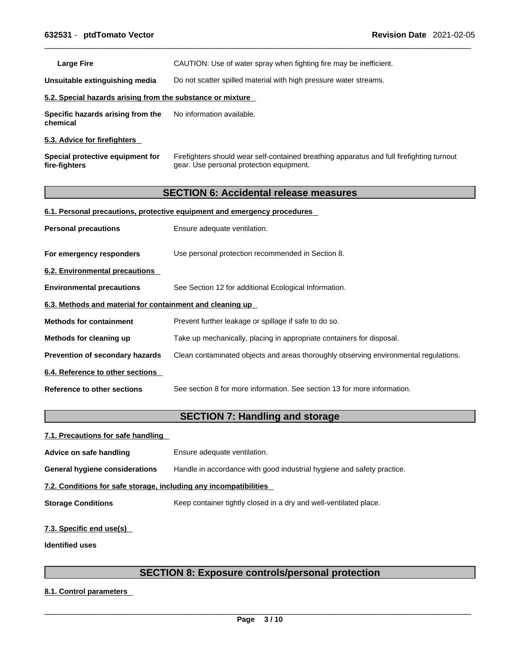Large Fire **Example 20 CAUTION:** Use of water spray when fighting fire may be inefficient.

**Unsuitable extinguishing media** Do not scatter spilled material with high pressure water streams.

### **5.2. Special hazards arising from the substance or mixture**

**Specific hazards arising from the chemical** No information available.

**5.3. Advice for firefighters** 

**Special protective equipment for fire-fighters** Firefighters should wear self-contained breathing apparatus and full firefighting turnout gear. Use personal protection equipment.

### **SECTION 6: Accidental release measures**

#### **6.1. Personal precautions, protective equipment and emergency procedures**

| <b>Personal precautions</b>                               | Ensure adequate ventilation.                                                         |  |
|-----------------------------------------------------------|--------------------------------------------------------------------------------------|--|
| For emergency responders                                  | Use personal protection recommended in Section 8.                                    |  |
| 6.2. Environmental precautions                            |                                                                                      |  |
| <b>Environmental precautions</b>                          | See Section 12 for additional Ecological Information.                                |  |
| 6.3. Methods and material for containment and cleaning up |                                                                                      |  |
| <b>Methods for containment</b>                            | Prevent further leakage or spillage if safe to do so.                                |  |
| Methods for cleaning up                                   | Take up mechanically, placing in appropriate containers for disposal.                |  |
| Prevention of secondary hazards                           | Clean contaminated objects and areas thoroughly observing environmental regulations. |  |
| 6.4. Reference to other sections                          |                                                                                      |  |
| Reference to other sections                               | See section 8 for more information. See section 13 for more information.             |  |

### **SECTION 7: Handling and storage**

| 7.1. Precautions for safe handling                                |                                                                        |  |
|-------------------------------------------------------------------|------------------------------------------------------------------------|--|
| Advice on safe handling                                           | Ensure adequate ventilation.                                           |  |
| General hygiene considerations                                    | Handle in accordance with good industrial hygiene and safety practice. |  |
| 7.2. Conditions for safe storage, including any incompatibilities |                                                                        |  |
| <b>Storage Conditions</b>                                         | Keep container tightly closed in a dry and well-ventilated place.      |  |
|                                                                   |                                                                        |  |

### **7.3. Specific end use(s)**

**Identified uses**

### **SECTION 8: Exposure controls/personal protection**

**8.1. Control parameters**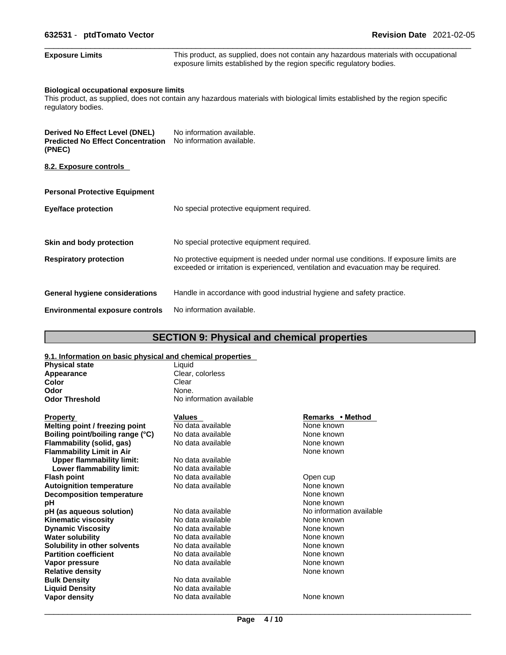| 632531 - ptdTomato Vector                                                                   | <b>Revision Date 2021-02-05</b>                                                                                                                                             |  |  |
|---------------------------------------------------------------------------------------------|-----------------------------------------------------------------------------------------------------------------------------------------------------------------------------|--|--|
| <b>Exposure Limits</b>                                                                      | This product, as supplied, does not contain any hazardous materials with occupational<br>exposure limits established by the region specific regulatory bodies.              |  |  |
| <b>Biological occupational exposure limits</b><br>regulatory bodies.                        | This product, as supplied, does not contain any hazardous materials with biological limits established by the region specific                                               |  |  |
| <b>Derived No Effect Level (DNEL)</b><br><b>Predicted No Effect Concentration</b><br>(PNEC) | No information available.<br>No information available.                                                                                                                      |  |  |
| 8.2. Exposure controls                                                                      |                                                                                                                                                                             |  |  |
| <b>Personal Protective Equipment</b>                                                        |                                                                                                                                                                             |  |  |
| Eye/face protection                                                                         | No special protective equipment required.                                                                                                                                   |  |  |
| Skin and body protection                                                                    | No special protective equipment required.                                                                                                                                   |  |  |
| <b>Respiratory protection</b>                                                               | No protective equipment is needed under normal use conditions. If exposure limits are<br>exceeded or irritation is experienced, ventilation and evacuation may be required. |  |  |
| <b>General hygiene considerations</b>                                                       | Handle in accordance with good industrial hygiene and safety practice.                                                                                                      |  |  |
| <b>Environmental exposure controls</b>                                                      | No information available.                                                                                                                                                   |  |  |

## **SECTION 9: Physical and chemical properties**

| 9.1. Information on basic physical and chemical properties |                          |                          |
|------------------------------------------------------------|--------------------------|--------------------------|
| <b>Physical state</b>                                      | Liquid                   |                          |
| Appearance                                                 | Clear, colorless         |                          |
| Color                                                      | Clear                    |                          |
| Odor                                                       | None.                    |                          |
| <b>Odor Threshold</b>                                      | No information available |                          |
| <b>Property</b>                                            | <b>Values</b>            | Remarks • Method         |
| Melting point / freezing point                             | No data available        | None known               |
| Boiling point/boiling range (°C)                           | No data available        | None known               |
| Flammability (solid, gas)                                  | No data available        | None known               |
| <b>Flammability Limit in Air</b>                           |                          | None known               |
| <b>Upper flammability limit:</b>                           | No data available        |                          |
| Lower flammability limit:                                  | No data available        |                          |
| <b>Flash point</b>                                         | No data available        | Open cup                 |
| <b>Autoignition temperature</b>                            | No data available        | None known               |
| <b>Decomposition temperature</b>                           |                          | None known               |
| рH                                                         |                          | None known               |
| pH (as aqueous solution)                                   | No data available        | No information available |
| <b>Kinematic viscosity</b>                                 | No data available        | None known               |
| <b>Dynamic Viscosity</b>                                   | No data available        | None known               |
| <b>Water solubility</b>                                    | No data available        | None known               |
| Solubility in other solvents                               | No data available        | None known               |
| <b>Partition coefficient</b>                               | No data available        | None known               |
| Vapor pressure                                             | No data available        | None known               |
| <b>Relative density</b>                                    |                          | None known               |
| <b>Bulk Density</b>                                        | No data available        |                          |
| <b>Liquid Density</b>                                      | No data available        |                          |
| <b>Vapor density</b>                                       | No data available        | None known               |
|                                                            |                          |                          |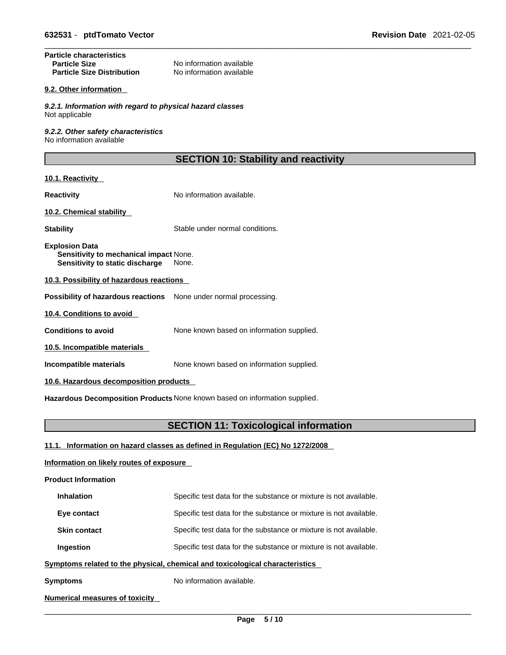### **Particle characteristics**  No information available<br>No information available **Particle Size Distribution**

#### **9.2. Other information**

*9.2.1. Information with regard to physical hazard classes* Not applicable

*9.2.2. Other safety characteristics* No information available

### **SECTION 10: Stability and reactivity**

### **10.1. Reactivity**

**Reactivity No information available.** 

### **10.2. Chemical stability**

**Stability** Stable under normal conditions.

**Explosion Data Sensitivity to mechanical impact** None. **Sensitivity to static discharge** None.

### **10.3. Possibility of hazardous reactions**

**Possibility of hazardous reactions** None under normal processing.

**10.4. Conditions to avoid** 

**Conditions to avoid** None known based on information supplied.

**10.5. Incompatible materials**

**Incompatible materials** None known based on information supplied.

**10.6. Hazardous decomposition products** 

**Hazardous Decomposition Products** None known based on information supplied.

### **SECTION 11: Toxicological information**

**11.1. Information on hazard classes as defined in Regulation (EC) No 1272/2008**

### **Information on likely routes of exposure**

**Product Information**

| <b>Inhalation</b>                                                            | Specific test data for the substance or mixture is not available. |  |
|------------------------------------------------------------------------------|-------------------------------------------------------------------|--|
| Eye contact                                                                  | Specific test data for the substance or mixture is not available. |  |
| <b>Skin contact</b>                                                          | Specific test data for the substance or mixture is not available. |  |
| Ingestion                                                                    | Specific test data for the substance or mixture is not available. |  |
| Symptoms related to the physical, chemical and toxicological characteristics |                                                                   |  |

**Symptoms** No information available.

### **Numerical measures of toxicity**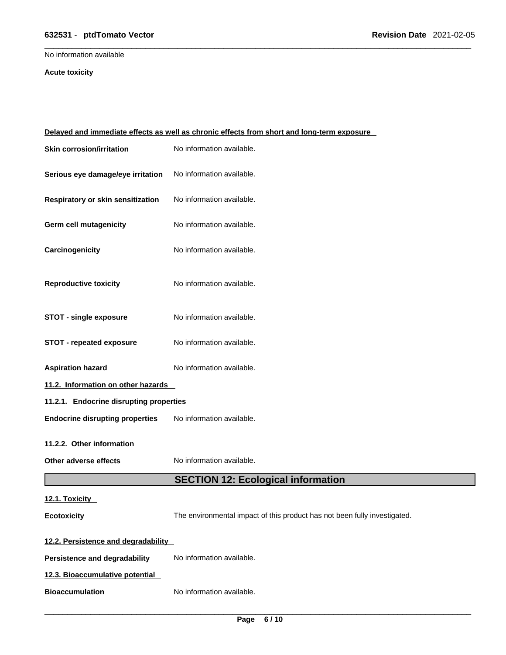### \_\_\_\_\_\_\_\_\_\_\_\_\_\_\_\_\_\_\_\_\_\_\_\_\_\_\_\_\_\_\_\_\_\_\_\_\_\_\_\_\_\_\_\_\_\_\_\_\_\_\_\_\_\_\_\_\_\_\_\_\_\_\_\_\_\_\_\_\_\_\_\_\_\_\_\_\_\_\_\_\_\_\_\_\_\_\_\_\_\_\_\_\_ **632531** - **ptdTomato Vector Revision Date** 2021-02-05

No information available

### **Acute toxicity**

| Delayed and immediate effects as well as chronic effects from short and long-term exposure |                                                                           |  |
|--------------------------------------------------------------------------------------------|---------------------------------------------------------------------------|--|
| <b>Skin corrosion/irritation</b>                                                           | No information available.                                                 |  |
| Serious eye damage/eye irritation                                                          | No information available.                                                 |  |
| Respiratory or skin sensitization                                                          | No information available.                                                 |  |
| Germ cell mutagenicity                                                                     | No information available.                                                 |  |
| Carcinogenicity                                                                            | No information available.                                                 |  |
| <b>Reproductive toxicity</b>                                                               | No information available.                                                 |  |
| <b>STOT - single exposure</b>                                                              | No information available.                                                 |  |
| <b>STOT - repeated exposure</b>                                                            | No information available.                                                 |  |
| <b>Aspiration hazard</b>                                                                   | No information available.                                                 |  |
| 11.2. Information on other hazards                                                         |                                                                           |  |
| 11.2.1. Endocrine disrupting properties                                                    |                                                                           |  |
| <b>Endocrine disrupting properties</b>                                                     | No information available.                                                 |  |
| 11.2.2. Other information                                                                  |                                                                           |  |
| Other adverse effects                                                                      | No information available.                                                 |  |
|                                                                                            | <b>SECTION 12: Ecological information</b>                                 |  |
| 12.1. Toxicity                                                                             |                                                                           |  |
| <b>Ecotoxicity</b>                                                                         | The environmental impact of this product has not been fully investigated. |  |
| 12.2. Persistence and degradability                                                        |                                                                           |  |
| <b>Persistence and degradability</b>                                                       | No information available.                                                 |  |
| 12.3. Bioaccumulative potential                                                            |                                                                           |  |
| <b>Bioaccumulation</b>                                                                     | No information available.                                                 |  |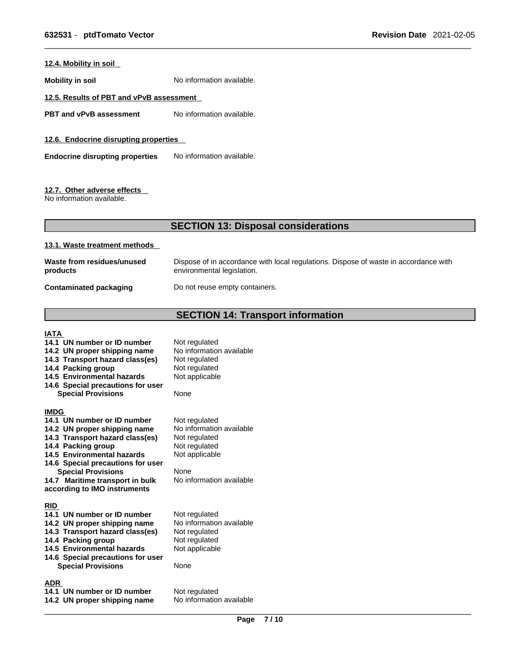### **12.4. Mobility in soil**

**Mobility in soil** No information available.

### **12.5. Results of PBT and vPvB assessment**

**PBT** and **vPvB** assessment No information available.

**12.6. Endocrine disrupting properties** 

**Endocrine disrupting properties** No information available.

#### **12.7. Other adverse effects**

No information available.

### **SECTION 13: Disposal considerations**

#### **13.1. Waste treatment methods**

| Waste from residues/unused    | Dispose of in accordance with local regulations. Dispose of waste in accordance with |
|-------------------------------|--------------------------------------------------------------------------------------|
| products                      | environmental legislation.                                                           |
| <b>Contaminated packaging</b> | Do not reuse empty containers.                                                       |

### **SECTION 14: Transport information**

#### **IATA**

**14.1 UN number or ID number** Not regulated **14.2 UN proper shipping name** No information available **14.3 Transport hazard class(es)** Not regulated **14.4 Packing group** Not regulated **14.4 Packing group Not regulated 14.5 Environmental hazards Not applicable 14.5 Environmental hazards 14.6 Special precautions for user Special Provisions** None **IMDG 14.1 UN number or ID number 14.2 UN proper shipping name** No information available **14.3 Transport hazard class(es) 14.4 Packing group 14.5 Environmental hazards 14.6 Special precautions for user Special Provisions** None **14.7 Maritime transport in bulk according to IMO instruments RID 14.1 UN number or ID number** Not regulated<br>**14.2 UN proper shipping name** No information available **14.2 UN proper shipping name** No information<br>**14.3 Transport hazard class(es)** Not regulated **14.3 Transport hazard class(es) 14.4 Packing group Mot regulated** 14.5 Environmental hazards Not applicable **14.6 Special precautions for user Special Provisions** 

**ADR** 

**14.1 UN number or ID number** Not regulated<br>**14.2 UN proper shipping name** No information available **14.2 UN proper shipping name** 

No information available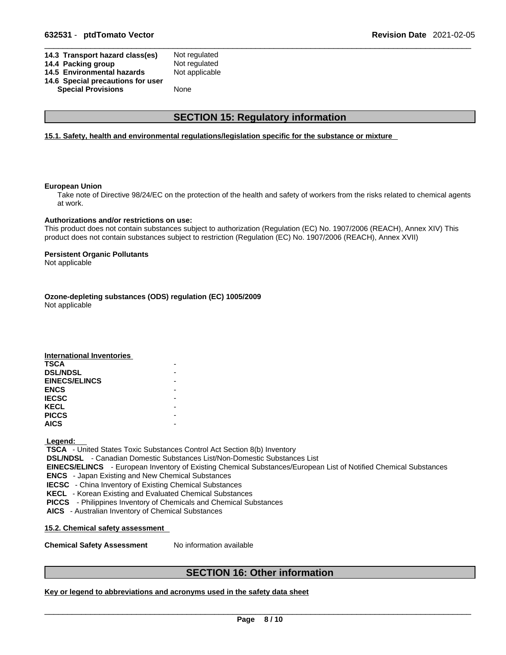| 14.3 Transport hazard class(es)   | Not regulated  |
|-----------------------------------|----------------|
| 14.4 Packing group                | Not regulated  |
| 14.5 Environmental hazards        | Not applicable |
| 14.6 Special precautions for user |                |
| <b>Special Provisions</b>         | <b>None</b>    |
|                                   |                |

### **SECTION 15: Regulatory information**

#### **15.1. Safety, health and environmental regulations/legislation specific for the substance or mixture**

#### **European Union**

Take note of Directive 98/24/EC on the protection of the health and safety of workers from the risks related to chemical agents at work.

#### **Authorizations and/or restrictions on use:**

This product does not contain substances subject to authorization (Regulation (EC) No. 1907/2006 (REACH), Annex XIV) This product does not contain substances subject to restriction (Regulation (EC) No. 1907/2006 (REACH), Annex XVII)

#### **Persistent Organic Pollutants**

Not applicable

### **Ozone-depleting substances (ODS) regulation (EC) 1005/2009**

Not applicable

| <b>International Inventories</b> |  |
|----------------------------------|--|
| <b>TSCA</b>                      |  |
| <b>DSL/NDSL</b>                  |  |
| <b>EINECS/ELINCS</b>             |  |
| <b>ENCS</b>                      |  |
| <b>IECSC</b>                     |  |
| <b>KECL</b>                      |  |
| <b>PICCS</b>                     |  |
| <b>AICS</b>                      |  |

#### **Legend:**

 **TSCA** - United States Toxic Substances Control Act Section 8(b) Inventory

 **DSL/NDSL** - Canadian Domestic Substances List/Non-Domestic Substances List

 **EINECS/ELINCS** - European Inventory of Existing Chemical Substances/European List of Notified Chemical Substances  **ENCS** - Japan Existing and New Chemical Substances

 **IECSC** - China Inventory of Existing Chemical Substances

 **KECL** - Korean Existing and Evaluated Chemical Substances

 **PICCS** - Philippines Inventory of Chemicals and Chemical Substances

 **AICS** - Australian Inventory of Chemical Substances

**15.2. Chemical safety assessment**

**Chemical Safety Assessment** No information available

### **SECTION 16: Other information**

### **Key or legend to abbreviations and acronyms used in the safety data sheet**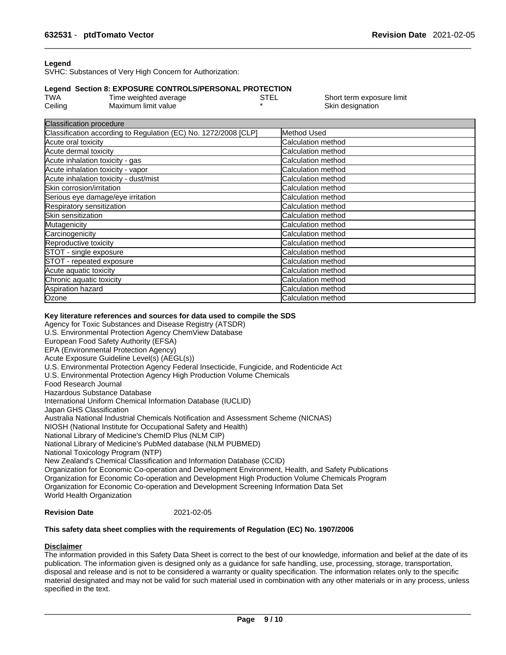### **Legend**

SVHC: Substances of Very High Concern for Authorization:

#### **Legend Section 8: EXPOSURE CONTROLS/PERSONAL PROTECTION**

| <b>TWA</b> | Time weighted average | STEL | Short term exposure limit |
|------------|-----------------------|------|---------------------------|
| Ceiling    | Maximum limit value   |      | Skin designation          |

| <b>Classification procedure</b>                                 |                           |
|-----------------------------------------------------------------|---------------------------|
| Classification according to Regulation (EC) No. 1272/2008 [CLP] | Method Used               |
| Acute oral toxicity                                             | Calculation method        |
| Acute dermal toxicity                                           | Calculation method        |
| Acute inhalation toxicity - gas                                 | Calculation method        |
| Acute inhalation toxicity - vapor                               | Calculation method        |
| Acute inhalation toxicity - dust/mist                           | Calculation method        |
| Skin corrosion/irritation                                       | Calculation method        |
| Serious eye damage/eye irritation                               | Calculation method        |
| Respiratory sensitization                                       | <b>Calculation method</b> |
| Skin sensitization                                              | Calculation method        |
| Mutagenicity                                                    | Calculation method        |
| Carcinogenicity                                                 | Calculation method        |
| Reproductive toxicity                                           | Calculation method        |
| STOT - single exposure                                          | Calculation method        |
| STOT - repeated exposure                                        | <b>Calculation method</b> |
| Acute aquatic toxicity                                          | <b>Calculation method</b> |
| Chronic aquatic toxicity                                        | Calculation method        |
| Aspiration hazard                                               | Calculation method        |
| Ozone                                                           | Calculation method        |
|                                                                 |                           |

#### **Key literature references and sources for data used to compile the SDS**

Agency for Toxic Substances and Disease Registry (ATSDR) U.S. Environmental Protection Agency ChemView Database European Food Safety Authority (EFSA) EPA (Environmental Protection Agency) Acute Exposure Guideline Level(s) (AEGL(s)) U.S. Environmental Protection Agency Federal Insecticide, Fungicide, and Rodenticide Act U.S. Environmental Protection Agency High Production Volume Chemicals Food Research Journal Hazardous Substance Database International Uniform Chemical Information Database (IUCLID) Japan GHS Classification Australia National Industrial Chemicals Notification and Assessment Scheme (NICNAS) NIOSH (National Institute for Occupational Safety and Health) National Library of Medicine's ChemID Plus (NLM CIP) National Library of Medicine's PubMed database (NLM PUBMED) National Toxicology Program (NTP) New Zealand's Chemical Classification and Information Database (CCID) Organization for Economic Co-operation and Development Environment, Health, and Safety Publications Organization for Economic Co-operation and Development High Production Volume Chemicals Program Organization for Economic Co-operation and Development Screening Information Data Set World Health Organization

### **Revision Date** 2021-02-05

### **This safety data sheet complies with the requirements of Regulation (EC) No. 1907/2006**

### **Disclaimer**

The information provided in this Safety Data Sheet is correct to the best of our knowledge, information and belief at the date of its publication. The information given is designed only as a guidance for safe handling, use, processing, storage, transportation, disposal and release and is not to be considered a warranty or quality specification. The information relates only to the specific material designated and may not be valid for such material used in combination with any other materials or in any process, unless specified in the text.